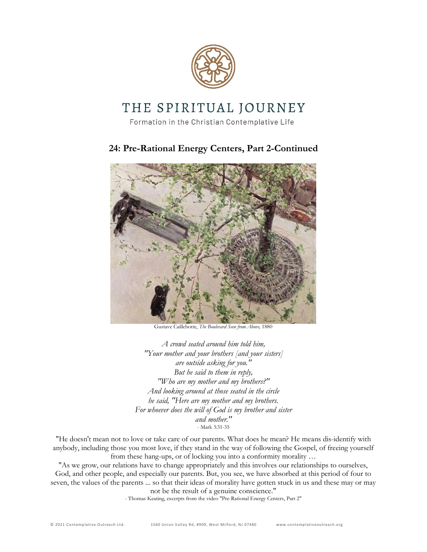

# THE SPIRITUAL JOURNEY

Formation in the Christian Contemplative Life

## **24: Pre-Rational Energy Centers, Part 2-Continued**



Gustave Caillebotte, *The Boulevard Seen from Above,* 1880

*A crowd seated around him told him, "Your mother and your brothers [and your sisters] are outside asking for you." But he said to them in reply, "Who are my mother and my brothers?" And looking around at those seated in the circle he said, "Here are my mother and my brothers. For whoever does the will of God is my brother and sister and mother."* - Mark 3:31-35

"He doesn't mean not to love or take care of our parents. What does he mean? He means dis-identify with anybody, including those you most love, if they stand in the way of following the Gospel, of freeing yourself from these hang-ups, or of locking you into a conformity morality …

"As we grow, our relations have to change appropriately and this involves our relationships to ourselves, God, and other people, and especially our parents. But, you see, we have absorbed at this period of four to seven, the values of the parents ... so that their ideas of morality have gotten stuck in us and these may or may not be the result of a genuine conscience."

- Thomas Keating, excerpts from the video "Pre-Rational Energy Centers, Part 2"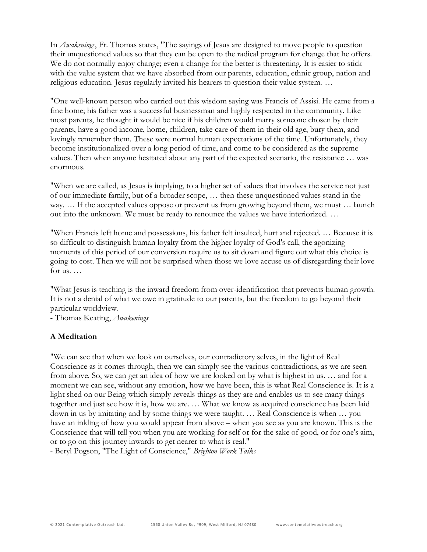In *Awakenings*, Fr. Thomas states, "The sayings of Jesus are designed to move people to question their unquestioned values so that they can be open to the radical program for change that he offers. We do not normally enjoy change; even a change for the better is threatening. It is easier to stick with the value system that we have absorbed from our parents, education, ethnic group, nation and religious education. Jesus regularly invited his hearers to question their value system. …

"One well-known person who carried out this wisdom saying was Francis of Assisi. He came from a fine home; his father was a successful businessman and highly respected in the community. Like most parents, he thought it would be nice if his children would marry someone chosen by their parents, have a good income, home, children, take care of them in their old age, bury them, and lovingly remember them. These were normal human expectations of the time. Unfortunately, they become institutionalized over a long period of time, and come to be considered as the supreme values. Then when anyone hesitated about any part of the expected scenario, the resistance … was enormous.

"When we are called, as Jesus is implying, to a higher set of values that involves the service not just of our immediate family, but of a broader scope, … then these unquestioned values stand in the way. ... If the accepted values oppose or prevent us from growing beyond them, we must ... launch out into the unknown. We must be ready to renounce the values we have interiorized. …

"When Francis left home and possessions, his father felt insulted, hurt and rejected. … Because it is so difficult to distinguish human loyalty from the higher loyalty of God's call, the agonizing moments of this period of our conversion require us to sit down and figure out what this choice is going to cost. Then we will not be surprised when those we love accuse us of disregarding their love for us. …

"What Jesus is teaching is the inward freedom from over-identification that prevents human growth. It is not a denial of what we owe in gratitude to our parents, but the freedom to go beyond their particular worldview.

- Thomas Keating, *Awakenings*

#### **A Meditation**

"We can see that when we look on ourselves, our contradictory selves, in the light of Real Conscience as it comes through, then we can simply see the various contradictions, as we are seen from above. So, we can get an idea of how we are looked on by what is highest in us. … and for a moment we can see, without any emotion, how we have been, this is what Real Conscience is. It is a light shed on our Being which simply reveals things as they are and enables us to see many things together and just see how it is, how we are. … What we know as acquired conscience has been laid down in us by imitating and by some things we were taught. … Real Conscience is when … you have an inkling of how you would appear from above – when you see as you are known. This is the Conscience that will tell you when you are working for self or for the sake of good, or for one's aim, or to go on this journey inwards to get nearer to what is real."

- Beryl Pogson, "The Light of Conscience," *Brighton Work Talks*